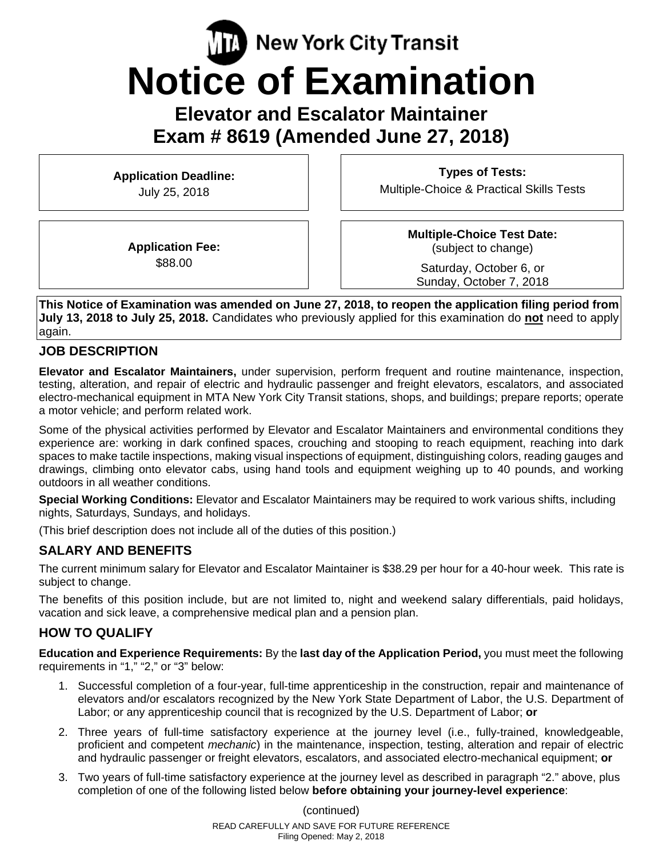# $\sqrt{\mathbf{R}}$  New York City Transit **Notice of Examination**

**Elevator and Escalator Maintainer Exam # 8619 (Amended June 27, 2018)** 

**Application Deadline:**  July 25, 2018

**Types of Tests:**  Multiple-Choice & Practical Skills Tests

**Application Fee:**  \$88.00

**Multiple-Choice Test Date:** (subject to change)

Saturday, October 6, or Sunday, October 7, 2018

**This Notice of Examination was amended on June 27, 2018, to reopen the application filing period from July 13, 2018 to July 25, 2018.** Candidates who previously applied for this examination do **not** need to apply again.

#### **JOB DESCRIPTION**

**Elevator and Escalator Maintainers,** under supervision, perform frequent and routine maintenance, inspection, testing, alteration, and repair of electric and hydraulic passenger and freight elevators, escalators, and associated electro-mechanical equipment in MTA New York City Transit stations, shops, and buildings; prepare reports; operate a motor vehicle; and perform related work.

Some of the physical activities performed by Elevator and Escalator Maintainers and environmental conditions they experience are: working in dark confined spaces, crouching and stooping to reach equipment, reaching into dark spaces to make tactile inspections, making visual inspections of equipment, distinguishing colors, reading gauges and drawings, climbing onto elevator cabs, using hand tools and equipment weighing up to 40 pounds, and working outdoors in all weather conditions.

**Special Working Conditions:** Elevator and Escalator Maintainers may be required to work various shifts, including nights, Saturdays, Sundays, and holidays.

(This brief description does not include all of the duties of this position.)

## **SALARY AND BENEFITS**

The current minimum salary for Elevator and Escalator Maintainer is \$38.29 per hour for a 40-hour week. This rate is subject to change.

The benefits of this position include, but are not limited to, night and weekend salary differentials, paid holidays, vacation and sick leave, a comprehensive medical plan and a pension plan.

## **HOW TO QUALIFY**

**Education and Experience Requirements:** By the **last day of the Application Period,** you must meet the following requirements in "1," "2," or "3" below:

- 1. Successful completion of a four-year, full-time apprenticeship in the construction, repair and maintenance of elevators and/or escalators recognized by the New York State Department of Labor, the U.S. Department of Labor; or any apprenticeship council that is recognized by the U.S. Department of Labor; **or**
- 2. Three years of full-time satisfactory experience at the journey level (i.e., fully-trained, knowledgeable, proficient and competent *mechanic*) in the maintenance, inspection, testing, alteration and repair of electric and hydraulic passenger or freight elevators, escalators, and associated electro-mechanical equipment; **or**
- 3. Two years of full-time satisfactory experience at the journey level as described in paragraph "2." above, plus completion of one of the following listed below **before obtaining your journey-level experience**:

READ CAREFULLY AND SAVE FOR FUTURE REFERENCE Filing Opened: May 2, 2018 (continued)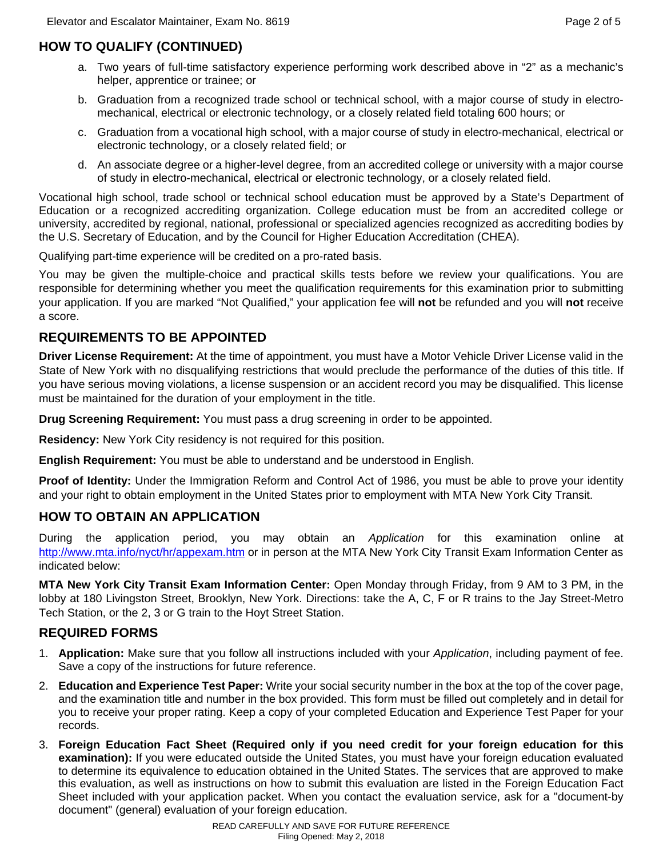# **HOW TO QUALIFY (CONTINUED)**

- a. Two years of full-time satisfactory experience performing work described above in "2" as a mechanic's helper, apprentice or trainee; or
- b. Graduation from a recognized trade school or technical school, with a major course of study in electromechanical, electrical or electronic technology, or a closely related field totaling 600 hours; or
- c. Graduation from a vocational high school, with a major course of study in electro-mechanical, electrical or electronic technology, or a closely related field; or
- d. An associate degree or a higher-level degree, from an accredited college or university with a major course of study in electro-mechanical, electrical or electronic technology, or a closely related field.

Vocational high school, trade school or technical school education must be approved by a State's Department of Education or a recognized accrediting organization. College education must be from an accredited college or university, accredited by regional, national, professional or specialized agencies recognized as accrediting bodies by the U.S. Secretary of Education, and by the Council for Higher Education Accreditation (CHEA).

Qualifying part-time experience will be credited on a pro-rated basis.

You may be given the multiple-choice and practical skills tests before we review your qualifications. You are responsible for determining whether you meet the qualification requirements for this examination prior to submitting your application. If you are marked "Not Qualified," your application fee will **not** be refunded and you will **not** receive a score.

#### **REQUIREMENTS TO BE APPOINTED**

**Driver License Requirement:** At the time of appointment, you must have a Motor Vehicle Driver License valid in the State of New York with no disqualifying restrictions that would preclude the performance of the duties of this title. If you have serious moving violations, a license suspension or an accident record you may be disqualified. This license must be maintained for the duration of your employment in the title.

**Drug Screening Requirement:** You must pass a drug screening in order to be appointed.

**Residency:** New York City residency is not required for this position.

**English Requirement:** You must be able to understand and be understood in English.

**Proof of Identity:** Under the Immigration Reform and Control Act of 1986, you must be able to prove your identity and your right to obtain employment in the United States prior to employment with MTA New York City Transit.

## **HOW TO OBTAIN AN APPLICATION**

During the application period, you may obtain an *Application* for this examination online at http://www.mta.info/nyct/hr/appexam.htm or in person at the MTA New York City Transit Exam Information Center as indicated below:

**MTA New York City Transit Exam Information Center:** Open Monday through Friday, from 9 AM to 3 PM, in the lobby at 180 Livingston Street, Brooklyn, New York. Directions: take the A, C, F or R trains to the Jay Street-Metro Tech Station, or the 2, 3 or G train to the Hoyt Street Station.

#### **REQUIRED FORMS**

- 1. **Application:** Make sure that you follow all instructions included with your *Application*, including payment of fee. Save a copy of the instructions for future reference.
- 2. **Education and Experience Test Paper:** Write your social security number in the box at the top of the cover page, and the examination title and number in the box provided. This form must be filled out completely and in detail for you to receive your proper rating. Keep a copy of your completed Education and Experience Test Paper for your records.
- 3. **Foreign Education Fact Sheet (Required only if you need credit for your foreign education for this examination):** If you were educated outside the United States, you must have your foreign education evaluated to determine its equivalence to education obtained in the United States. The services that are approved to make this evaluation, as well as instructions on how to submit this evaluation are listed in the Foreign Education Fact Sheet included with your application packet. When you contact the evaluation service, ask for a "document-by document" (general) evaluation of your foreign education.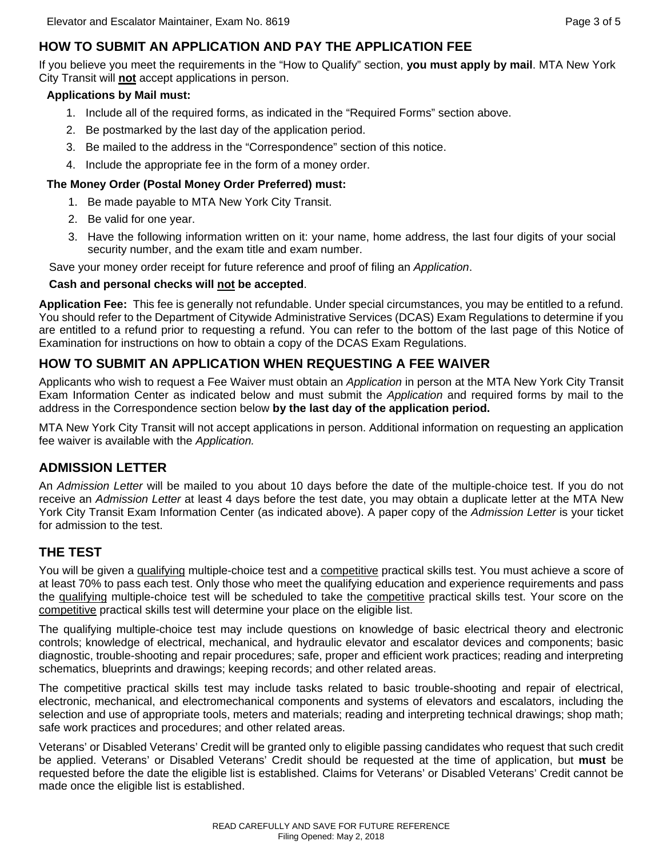# **HOW TO SUBMIT AN APPLICATION AND PAY THE APPLICATION FEE**

If you believe you meet the requirements in the "How to Qualify" section, **you must apply by mail**. MTA New York City Transit will **not** accept applications in person.

#### **Applications by Mail must:**

- 1. Include all of the required forms, as indicated in the "Required Forms" section above.
- 2. Be postmarked by the last day of the application period.
- 3. Be mailed to the address in the "Correspondence" section of this notice.
- 4. Include the appropriate fee in the form of a money order.

#### **The Money Order (Postal Money Order Preferred) must:**

- 1. Be made payable to MTA New York City Transit.
- 2. Be valid for one year.
- 3. Have the following information written on it: your name, home address, the last four digits of your social security number, and the exam title and exam number.

Save your money order receipt for future reference and proof of filing an *Application*.

#### **Cash and personal checks will not be accepted**.

**Application Fee:** This fee is generally not refundable. Under special circumstances, you may be entitled to a refund. You should refer to the Department of Citywide Administrative Services (DCAS) Exam Regulations to determine if you are entitled to a refund prior to requesting a refund. You can refer to the bottom of the last page of this Notice of Examination for instructions on how to obtain a copy of the DCAS Exam Regulations.

## **HOW TO SUBMIT AN APPLICATION WHEN REQUESTING A FEE WAIVER**

Applicants who wish to request a Fee Waiver must obtain an *Application* in person at the MTA New York City Transit Exam Information Center as indicated below and must submit the *Application* and required forms by mail to the address in the Correspondence section below **by the last day of the application period.**

MTA New York City Transit will not accept applications in person. Additional information on requesting an application fee waiver is available with the *Application.* 

## **ADMISSION LETTER**

An *Admission Letter* will be mailed to you about 10 days before the date of the multiple-choice test. If you do not receive an *Admission Letter* at least 4 days before the test date, you may obtain a duplicate letter at the MTA New York City Transit Exam Information Center (as indicated above). A paper copy of the *Admission Letter* is your ticket for admission to the test.

# **THE TEST**

You will be given a qualifying multiple-choice test and a competitive practical skills test. You must achieve a score of at least 70% to pass each test. Only those who meet the qualifying education and experience requirements and pass the qualifying multiple-choice test will be scheduled to take the competitive practical skills test. Your score on the competitive practical skills test will determine your place on the eligible list.

The qualifying multiple-choice test may include questions on knowledge of basic electrical theory and electronic controls; knowledge of electrical, mechanical, and hydraulic elevator and escalator devices and components; basic diagnostic, trouble-shooting and repair procedures; safe, proper and efficient work practices; reading and interpreting schematics, blueprints and drawings; keeping records; and other related areas.

The competitive practical skills test may include tasks related to basic trouble-shooting and repair of electrical, electronic, mechanical, and electromechanical components and systems of elevators and escalators, including the selection and use of appropriate tools, meters and materials; reading and interpreting technical drawings; shop math; safe work practices and procedures; and other related areas.

Veterans' or Disabled Veterans' Credit will be granted only to eligible passing candidates who request that such credit be applied. Veterans' or Disabled Veterans' Credit should be requested at the time of application, but **must** be requested before the date the eligible list is established. Claims for Veterans' or Disabled Veterans' Credit cannot be made once the eligible list is established.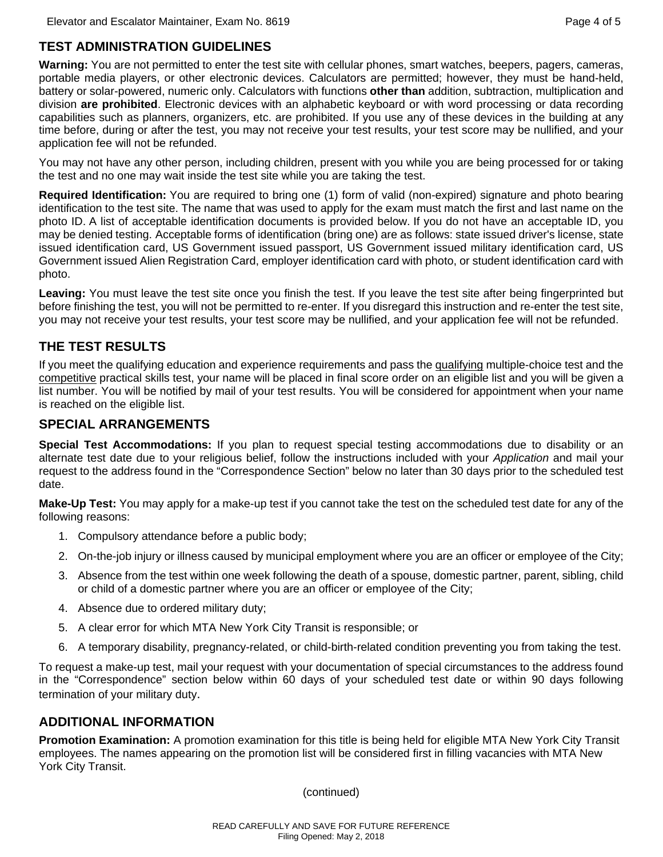## **TEST ADMINISTRATION GUIDELINES**

**Warning:** You are not permitted to enter the test site with cellular phones, smart watches, beepers, pagers, cameras, portable media players, or other electronic devices. Calculators are permitted; however, they must be hand-held, battery or solar-powered, numeric only. Calculators with functions **other than** addition, subtraction, multiplication and division **are prohibited**. Electronic devices with an alphabetic keyboard or with word processing or data recording capabilities such as planners, organizers, etc. are prohibited. If you use any of these devices in the building at any time before, during or after the test, you may not receive your test results, your test score may be nullified, and your application fee will not be refunded.

You may not have any other person, including children, present with you while you are being processed for or taking the test and no one may wait inside the test site while you are taking the test.

**Required Identification:** You are required to bring one (1) form of valid (non-expired) signature and photo bearing identification to the test site. The name that was used to apply for the exam must match the first and last name on the photo ID. A list of acceptable identification documents is provided below. If you do not have an acceptable ID, you may be denied testing. Acceptable forms of identification (bring one) are as follows: state issued driver's license, state issued identification card, US Government issued passport, US Government issued military identification card, US Government issued Alien Registration Card, employer identification card with photo, or student identification card with photo.

**Leaving:** You must leave the test site once you finish the test. If you leave the test site after being fingerprinted but before finishing the test, you will not be permitted to re-enter. If you disregard this instruction and re-enter the test site, you may not receive your test results, your test score may be nullified, and your application fee will not be refunded.

## **THE TEST RESULTS**

If you meet the qualifying education and experience requirements and pass the qualifying multiple-choice test and the competitive practical skills test, your name will be placed in final score order on an eligible list and you will be given a list number. You will be notified by mail of your test results. You will be considered for appointment when your name is reached on the eligible list.

#### **SPECIAL ARRANGEMENTS**

**Special Test Accommodations:** If you plan to request special testing accommodations due to disability or an alternate test date due to your religious belief, follow the instructions included with your *Application* and mail your request to the address found in the "Correspondence Section" below no later than 30 days prior to the scheduled test date.

**Make-Up Test:** You may apply for a make-up test if you cannot take the test on the scheduled test date for any of the following reasons:

- 1. Compulsory attendance before a public body;
- 2. On-the-job injury or illness caused by municipal employment where you are an officer or employee of the City;
- 3. Absence from the test within one week following the death of a spouse, domestic partner, parent, sibling, child or child of a domestic partner where you are an officer or employee of the City;
- 4. Absence due to ordered military duty;
- 5. A clear error for which MTA New York City Transit is responsible; or
- 6. A temporary disability, pregnancy-related, or child-birth-related condition preventing you from taking the test.

To request a make-up test, mail your request with your documentation of special circumstances to the address found in the "Correspondence" section below within 60 days of your scheduled test date or within 90 days following termination of your military duty.

#### **ADDITIONAL INFORMATION**

**Promotion Examination:** A promotion examination for this title is being held for eligible MTA New York City Transit employees. The names appearing on the promotion list will be considered first in filling vacancies with MTA New York City Transit.

(continued)